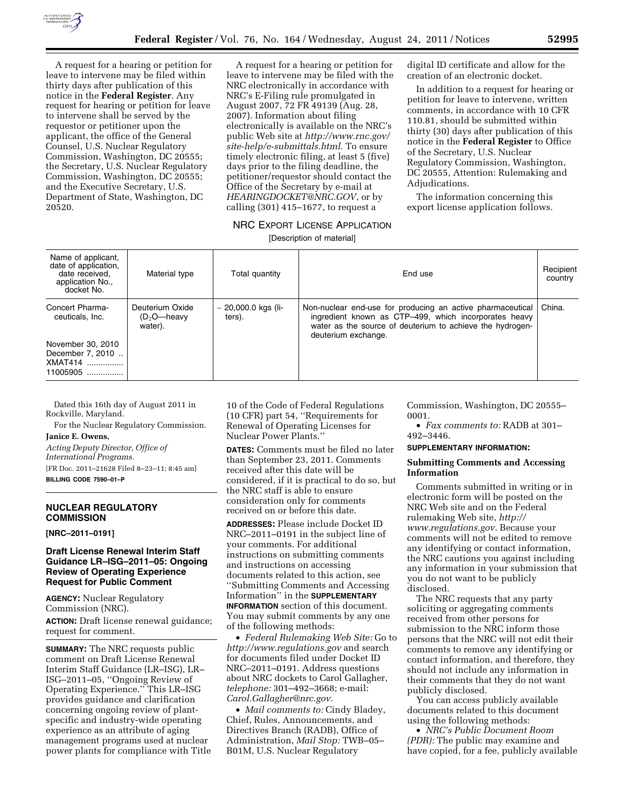

A request for a hearing or petition for leave to intervene may be filed within thirty days after publication of this notice in the **Federal Register**. Any request for hearing or petition for leave to intervene shall be served by the requestor or petitioner upon the applicant, the office of the General Counsel, U.S. Nuclear Regulatory Commission, Washington, DC 20555; the Secretary, U.S. Nuclear Regulatory Commission, Washington, DC 20555; and the Executive Secretary, U.S. Department of State, Washington, DC 20520.

A request for a hearing or petition for leave to intervene may be filed with the NRC electronically in accordance with NRC's E-Filing rule promulgated in August 2007, 72 FR 49139 (Aug. 28, 2007). Information about filing electronically is available on the NRC's public Web site at *[http://www.rnc.gov/](http://www.rnc.gov/site-help/e-submittals.html) [site-help/e-submittals.html](http://www.rnc.gov/site-help/e-submittals.html)*. To ensure timely electronic filing, at least 5 (five) days prior to the filing deadline, the petitioner/requestor should contact the Office of the Secretary by e-mail at *[HEARINGDOCKET@NRC.GOV](mailto:HEARINGDOCKET@NRC.GOV)*, or by calling (301) 415–1677, to request a

digital ID certificate and allow for the creation of an electronic docket.

In addition to a request for hearing or petition for leave to intervene, written comments, in accordance with 10 CFR 110.81, should be submitted within thirty (30) days after publication of this notice in the **Federal Register** to Office of the Secretary, U.S. Nuclear Regulatory Commission, Washington, DC 20555, Attention: Rulemaking and Adjudications.

The information concerning this export license application follows.

# NRC EXPORT LICENSE APPLICATION

[Description of material]

| Name of applicant,<br>date of application,<br>date received,<br>application No.,<br>docket No.     | Material type                                | Total quantity                     | End use                                                                                                                                                                                                 | Recipient<br>country |
|----------------------------------------------------------------------------------------------------|----------------------------------------------|------------------------------------|---------------------------------------------------------------------------------------------------------------------------------------------------------------------------------------------------------|----------------------|
| Concert Pharma-<br>ceuticals, Inc.<br>November 30, 2010<br>December 7, 2010<br>XMAT414<br>11005905 | Deuterium Oxide<br>$(D_2O$ —heavy<br>water). | $\sim$ 20,000.0 kgs (li-<br>ters). | Non-nuclear end-use for producing an active pharmaceutical<br>ingredient known as CTP-499, which incorporates heavy<br>water as the source of deuterium to achieve the hydrogen-<br>deuterium exchange. | China.               |

Dated this 16th day of August 2011 in Rockville, Maryland.

For the Nuclear Regulatory Commission. **Janice E. Owens,** 

*Acting Deputy Director, Office of International Programs.* 

[FR Doc. 2011–21628 Filed 8–23–11; 8:45 am] **BILLING CODE 7590–01–P** 

## **NUCLEAR REGULATORY COMMISSION**

**[NRC–2011–0191]** 

# **Draft License Renewal Interim Staff Guidance LR–ISG–2011–05: Ongoing Review of Operating Experience Request for Public Comment**

**AGENCY:** Nuclear Regulatory Commission (NRC). **ACTION:** Draft license renewal guidance;

request for comment.

**SUMMARY:** The NRC requests public comment on Draft License Renewal Interim Staff Guidance (LR–ISG), LR– ISG–2011–05, ''Ongoing Review of Operating Experience.'' This LR–ISG provides guidance and clarification concerning ongoing review of plantspecific and industry-wide operating experience as an attribute of aging management programs used at nuclear power plants for compliance with Title 10 of the Code of Federal Regulations (10 CFR) part 54, ''Requirements for Renewal of Operating Licenses for Nuclear Power Plants.''

**DATES:** Comments must be filed no later than September 23, 2011. Comments received after this date will be considered, if it is practical to do so, but the NRC staff is able to ensure consideration only for comments received on or before this date.

**ADDRESSES:** Please include Docket ID NRC–2011–0191 in the subject line of your comments. For additional instructions on submitting comments and instructions on accessing documents related to this action, see ''Submitting Comments and Accessing Information'' in the **SUPPLEMENTARY INFORMATION** section of this document. You may submit comments by any one of the following methods:

• *Federal Rulemaking Web Site:* Go to *<http://www.regulations.gov>* and search for documents filed under Docket ID NRC–2011–0191. Address questions about NRC dockets to Carol Gallagher, *telephone:* 301–492–3668; e-mail: *[Carol.Gallagher@nrc.gov.](mailto:Carol.Gallagher@nrc.gov)* 

• *Mail comments to:* Cindy Bladey, Chief, Rules, Announcements, and Directives Branch (RADB), Office of Administration, *Mail Stop:* TWB–05– B01M, U.S. Nuclear Regulatory

Commission, Washington, DC 20555– 0001.

• *Fax comments to:* RADB at 301– 492–3446.

# **SUPPLEMENTARY INFORMATION:**

#### **Submitting Comments and Accessing Information**

Comments submitted in writing or in electronic form will be posted on the NRC Web site and on the Federal rulemaking Web site, *[http://](http://www.regulations.gov) [www.regulations.gov.](http://www.regulations.gov)* Because your comments will not be edited to remove any identifying or contact information, the NRC cautions you against including any information in your submission that you do not want to be publicly disclosed.

The NRC requests that any party soliciting or aggregating comments received from other persons for submission to the NRC inform those persons that the NRC will not edit their comments to remove any identifying or contact information, and therefore, they should not include any information in their comments that they do not want publicly disclosed.

You can access publicly available documents related to this document using the following methods:

• *NRC's Public Document Room (PDR):* The public may examine and have copied, for a fee, publicly available